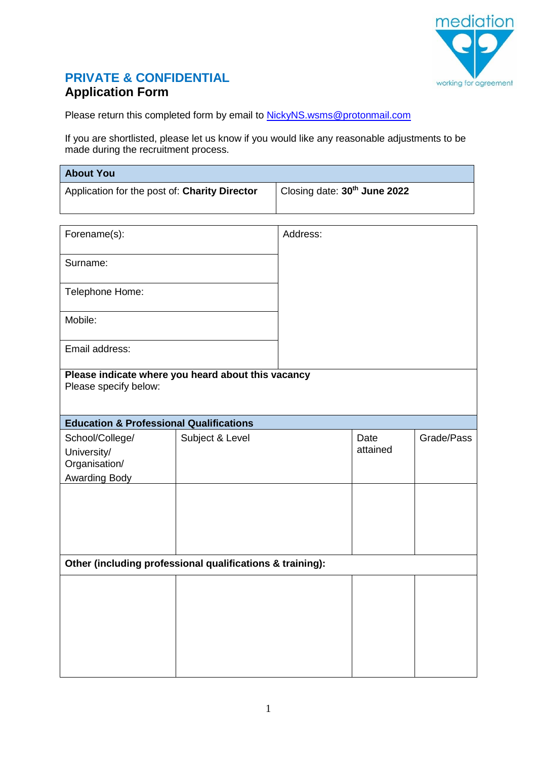

## **PRIVATE & CONFIDENTIAL Application Form**

Please return this completed form by email to **NickyNS**.wsms@protonmail.com

If you are shortlisted, please let us know if you would like any reasonable adjustments to be made during the recruitment process.

| <b>About You</b>                                                            |                 |                                          |                  |            |
|-----------------------------------------------------------------------------|-----------------|------------------------------------------|------------------|------------|
| Application for the post of: Charity Director                               |                 | Closing date: 30 <sup>th</sup> June 2022 |                  |            |
| Forename(s):                                                                |                 | Address:                                 |                  |            |
| Surname:                                                                    |                 |                                          |                  |            |
| Telephone Home:                                                             |                 |                                          |                  |            |
| Mobile:                                                                     |                 |                                          |                  |            |
| Email address:                                                              |                 |                                          |                  |            |
| Please indicate where you heard about this vacancy<br>Please specify below: |                 |                                          |                  |            |
| <b>Education &amp; Professional Qualifications</b>                          |                 |                                          |                  |            |
| School/College/<br>University/<br>Organisation/<br><b>Awarding Body</b>     | Subject & Level |                                          | Date<br>attained | Grade/Pass |
|                                                                             |                 |                                          |                  |            |
| Other (including professional qualifications & training):                   |                 |                                          |                  |            |
|                                                                             |                 |                                          |                  |            |
|                                                                             |                 |                                          |                  |            |
|                                                                             |                 |                                          |                  |            |
|                                                                             |                 |                                          |                  |            |
|                                                                             |                 |                                          |                  |            |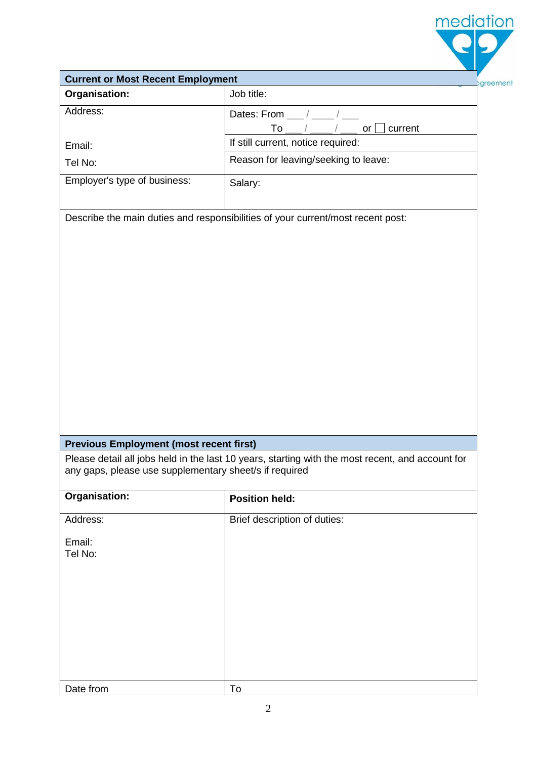| <b>Current or Most Recent Employment</b>               |                                                                                                  |  |  |  |
|--------------------------------------------------------|--------------------------------------------------------------------------------------------------|--|--|--|
| <b>Organisation:</b>                                   | Job title:                                                                                       |  |  |  |
| Address:                                               | Dates: From /                                                                                    |  |  |  |
|                                                        | To<br>current<br>or                                                                              |  |  |  |
| Email:                                                 | If still current, notice required:                                                               |  |  |  |
| Tel No:                                                | Reason for leaving/seeking to leave:                                                             |  |  |  |
| Employer's type of business:                           | Salary:                                                                                          |  |  |  |
|                                                        | Describe the main duties and responsibilities of your current/most recent post:                  |  |  |  |
| <b>Previous Employment (most recent first)</b>         |                                                                                                  |  |  |  |
| any gaps, please use supplementary sheet/s if required | Please detail all jobs held in the last 10 years, starting with the most recent, and account for |  |  |  |
| Organisation:                                          | <b>Position held:</b>                                                                            |  |  |  |
| Address:                                               | Brief description of duties:                                                                     |  |  |  |
| Email:<br>Tel No:                                      |                                                                                                  |  |  |  |
|                                                        |                                                                                                  |  |  |  |
|                                                        |                                                                                                  |  |  |  |
| Date from                                              | To                                                                                               |  |  |  |

mediation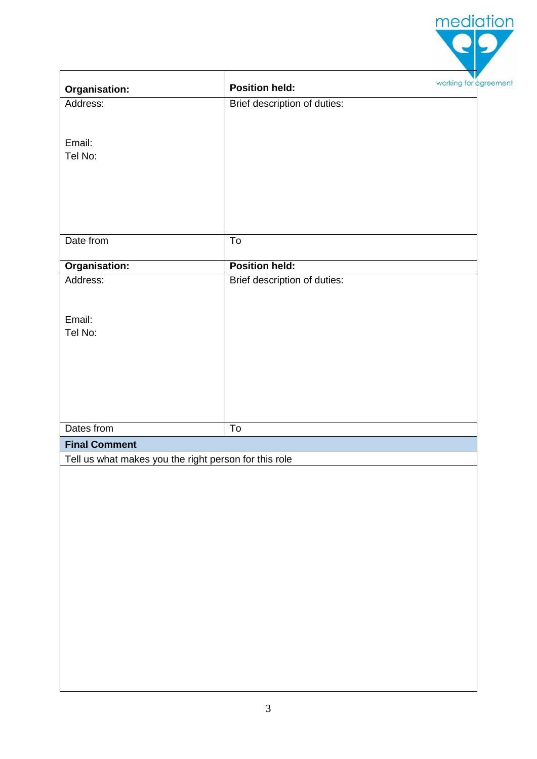|                                                       |                              | mediation             |
|-------------------------------------------------------|------------------------------|-----------------------|
| <b>Organisation:</b>                                  | <b>Position held:</b>        | working for agreement |
| Address:                                              | Brief description of duties: |                       |
|                                                       |                              |                       |
| Email:<br>Tel No:                                     |                              |                       |
| Date from                                             | ${\sf To}$                   |                       |
|                                                       |                              |                       |
| Organisation:                                         | <b>Position held:</b>        |                       |
| Address:                                              | Brief description of duties: |                       |
| Email:                                                |                              |                       |
| Tel No:                                               |                              |                       |
|                                                       |                              |                       |
|                                                       |                              |                       |
|                                                       |                              |                       |
|                                                       |                              |                       |
| Dates from                                            | $\overline{\text{To}}$       |                       |
| <b>Final Comment</b>                                  |                              |                       |
| Tell us what makes you the right person for this role |                              |                       |
|                                                       |                              |                       |
|                                                       |                              |                       |
|                                                       |                              |                       |
|                                                       |                              |                       |
|                                                       |                              |                       |
|                                                       |                              |                       |
|                                                       |                              |                       |
|                                                       |                              |                       |
|                                                       |                              |                       |
|                                                       |                              |                       |
|                                                       |                              |                       |
|                                                       |                              |                       |
|                                                       |                              |                       |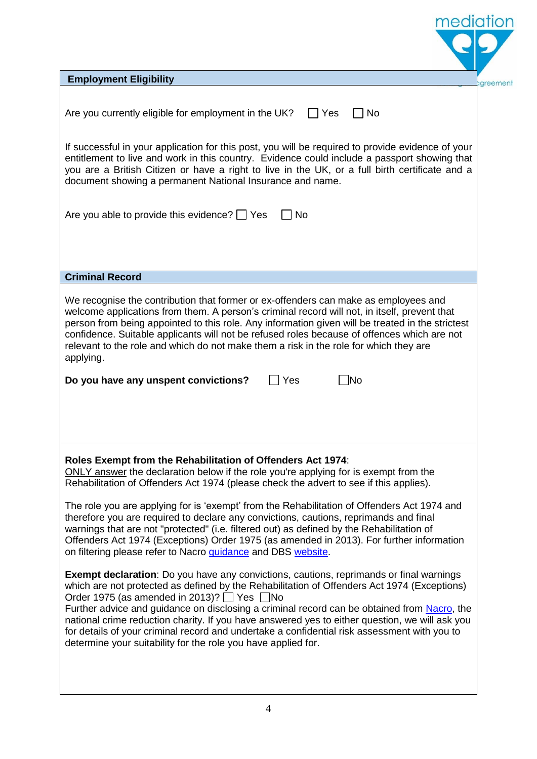| mediation                                                                                                                                                                                                                                                                                                                                                                                                                                                                                                                                                                                                                                                                                                                                                                                                                                                                                                                                                                                                                                                                                                                                                                                                                                                                                                                   |  |
|-----------------------------------------------------------------------------------------------------------------------------------------------------------------------------------------------------------------------------------------------------------------------------------------------------------------------------------------------------------------------------------------------------------------------------------------------------------------------------------------------------------------------------------------------------------------------------------------------------------------------------------------------------------------------------------------------------------------------------------------------------------------------------------------------------------------------------------------------------------------------------------------------------------------------------------------------------------------------------------------------------------------------------------------------------------------------------------------------------------------------------------------------------------------------------------------------------------------------------------------------------------------------------------------------------------------------------|--|
| <b>Employment Eligibility</b><br>greement                                                                                                                                                                                                                                                                                                                                                                                                                                                                                                                                                                                                                                                                                                                                                                                                                                                                                                                                                                                                                                                                                                                                                                                                                                                                                   |  |
| Are you currently eligible for employment in the UK?<br>Yes<br><b>No</b>                                                                                                                                                                                                                                                                                                                                                                                                                                                                                                                                                                                                                                                                                                                                                                                                                                                                                                                                                                                                                                                                                                                                                                                                                                                    |  |
| If successful in your application for this post, you will be required to provide evidence of your<br>entitlement to live and work in this country. Evidence could include a passport showing that<br>you are a British Citizen or have a right to live in the UK, or a full birth certificate and a<br>document showing a permanent National Insurance and name.                                                                                                                                                                                                                                                                                                                                                                                                                                                                                                                                                                                                                                                                                                                                                                                                                                                                                                                                                            |  |
| Are you able to provide this evidence? $\Box$ Yes<br><b>No</b>                                                                                                                                                                                                                                                                                                                                                                                                                                                                                                                                                                                                                                                                                                                                                                                                                                                                                                                                                                                                                                                                                                                                                                                                                                                              |  |
|                                                                                                                                                                                                                                                                                                                                                                                                                                                                                                                                                                                                                                                                                                                                                                                                                                                                                                                                                                                                                                                                                                                                                                                                                                                                                                                             |  |
| <b>Criminal Record</b>                                                                                                                                                                                                                                                                                                                                                                                                                                                                                                                                                                                                                                                                                                                                                                                                                                                                                                                                                                                                                                                                                                                                                                                                                                                                                                      |  |
| We recognise the contribution that former or ex-offenders can make as employees and<br>welcome applications from them. A person's criminal record will not, in itself, prevent that<br>person from being appointed to this role. Any information given will be treated in the strictest<br>confidence. Suitable applicants will not be refused roles because of offences which are not<br>relevant to the role and which do not make them a risk in the role for which they are<br>applying.<br>Do you have any unspent convictions?<br><b>INo</b><br>Yes                                                                                                                                                                                                                                                                                                                                                                                                                                                                                                                                                                                                                                                                                                                                                                   |  |
| Roles Exempt from the Rehabilitation of Offenders Act 1974:<br>ONLY answer the declaration below if the role you're applying for is exempt from the<br>Rehabilitation of Offenders Act 1974 (please check the advert to see if this applies).<br>The role you are applying for is 'exempt' from the Rehabilitation of Offenders Act 1974 and<br>therefore you are required to declare any convictions, cautions, reprimands and final<br>warnings that are not "protected" (i.e. filtered out) as defined by the Rehabilitation of<br>Offenders Act 1974 (Exceptions) Order 1975 (as amended in 2013). For further information<br>on filtering please refer to Nacro guidance and DBS website.<br><b>Exempt declaration</b> : Do you have any convictions, cautions, reprimands or final warnings<br>which are not protected as defined by the Rehabilitation of Offenders Act 1974 (Exceptions)<br>Order 1975 (as amended in 2013)? $\Box$ Yes $\Box$ No<br>Further advice and guidance on disclosing a criminal record can be obtained from Nacro, the<br>national crime reduction charity. If you have answered yes to either question, we will ask you<br>for details of your criminal record and undertake a confidential risk assessment with you to<br>determine your suitability for the role you have applied for. |  |